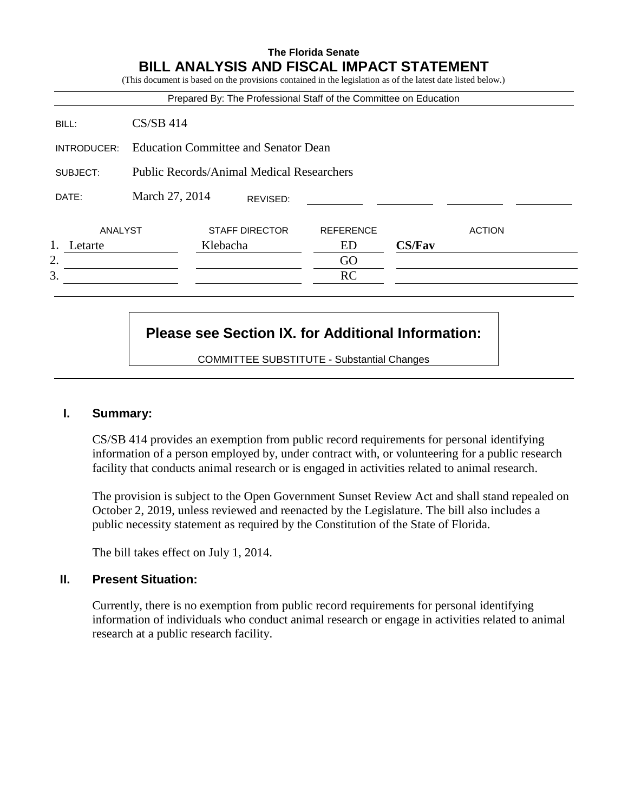#### **The Florida Senate BILL ANALYSIS AND FISCAL IMPACT STATEMENT**  $\alpha$  on the provisions contained in the legislation as of the latest date listed below.)

|             |                                                  | Prepared By: The Professional Staff of the Committee on Education |                  |               |               |
|-------------|--------------------------------------------------|-------------------------------------------------------------------|------------------|---------------|---------------|
| BILL:       | $CS/SB$ 414                                      |                                                                   |                  |               |               |
| INTRODUCER: | <b>Education Committee and Senator Dean</b>      |                                                                   |                  |               |               |
| SUBJECT:    | <b>Public Records/Animal Medical Researchers</b> |                                                                   |                  |               |               |
| DATE:       | March 27, 2014                                   | REVISED:                                                          |                  |               |               |
| ANALYST     |                                                  | <b>STAFF DIRECTOR</b>                                             | <b>REFERENCE</b> |               | <b>ACTION</b> |
| Letarte     |                                                  | Klebacha                                                          | ED               | <b>CS/Fav</b> |               |
| 2.          |                                                  |                                                                   | GO               |               |               |
| 3.          |                                                  |                                                                   | RC               |               |               |

# **Please see Section IX. for Additional Information:**

COMMITTEE SUBSTITUTE - Substantial Changes

# **I. Summary:**

CS/SB 414 provides an exemption from public record requirements for personal identifying information of a person employed by, under contract with, or volunteering for a public research facility that conducts animal research or is engaged in activities related to animal research.

The provision is subject to the Open Government Sunset Review Act and shall stand repealed on October 2, 2019, unless reviewed and reenacted by the Legislature. The bill also includes a public necessity statement as required by the Constitution of the State of Florida.

The bill takes effect on July 1, 2014.

### **II. Present Situation:**

Currently, there is no exemption from public record requirements for personal identifying information of individuals who conduct animal research or engage in activities related to animal research at a public research facility.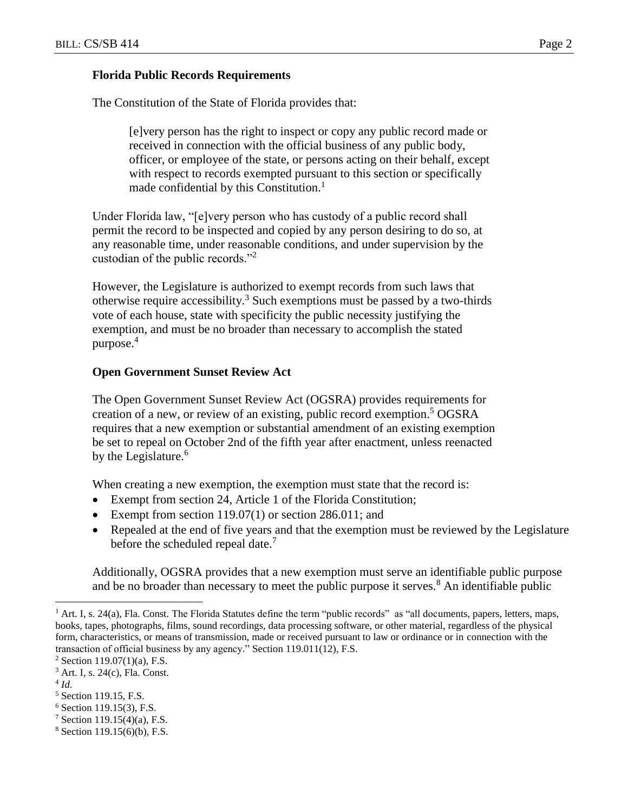### **Florida Public Records Requirements**

The Constitution of the State of Florida provides that:

[e]very person has the right to inspect or copy any public record made or received in connection with the official business of any public body, officer, or employee of the state, or persons acting on their behalf, except with respect to records exempted pursuant to this section or specifically made confidential by this Constitution.<sup>1</sup>

Under Florida law, "[e]very person who has custody of a public record shall permit the record to be inspected and copied by any person desiring to do so, at any reasonable time, under reasonable conditions, and under supervision by the custodian of the public records."<sup>2</sup>

However, the Legislature is authorized to exempt records from such laws that otherwise require accessibility.<sup>3</sup> Such exemptions must be passed by a two-thirds vote of each house, state with specificity the public necessity justifying the exemption, and must be no broader than necessary to accomplish the stated purpose.<sup>4</sup>

# **Open Government Sunset Review Act**

The Open Government Sunset Review Act (OGSRA) provides requirements for creation of a new, or review of an existing, public record exemption. <sup>5</sup> OGSRA requires that a new exemption or substantial amendment of an existing exemption be set to repeal on October 2nd of the fifth year after enactment, unless reenacted by the Legislature.<sup>6</sup>

When creating a new exemption, the exemption must state that the record is:

- Exempt from section 24, Article 1 of the Florida Constitution;
- Exempt from section 119.07(1) or section 286.011; and
- Repealed at the end of five years and that the exemption must be reviewed by the Legislature before the scheduled repeal date.<sup>7</sup>

Additionally, OGSRA provides that a new exemption must serve an identifiable public purpose and be no broader than necessary to meet the public purpose it serves.<sup>8</sup> An identifiable public

4 *Id.*

 $\overline{a}$ 

 $6$  Section 119.15(3), F.S.

<sup>&</sup>lt;sup>1</sup> Art. I, s. 24(a), Fla. Const. The Florida Statutes define the term "public records" as "all documents, papers, letters, maps, books, tapes, photographs, films, sound recordings, data processing software, or other material, regardless of the physical form, characteristics, or means of transmission, made or received pursuant to law or ordinance or in connection with the transaction of official business by any agency." Section 119.011(12), F.S.

 $2$  Section 119.07(1)(a), F.S.

<sup>3</sup> Art. I, s. 24(c), Fla. Const.

<sup>5</sup> Section 119.15, F.S.

<sup>7</sup> Section 119.15(4)(a), F.S.

 $8$  Section 119.15(6)(b), F.S.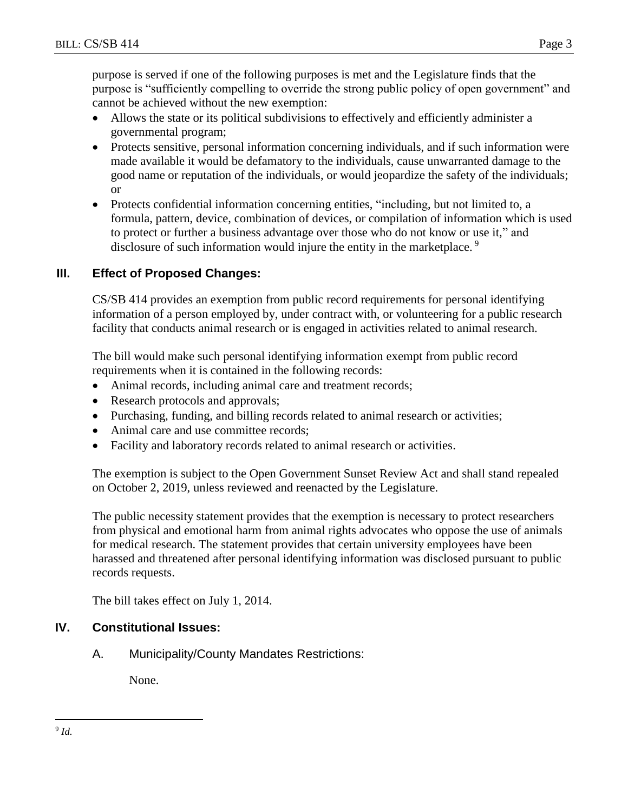purpose is served if one of the following purposes is met and the Legislature finds that the purpose is "sufficiently compelling to override the strong public policy of open government" and cannot be achieved without the new exemption:

- Allows the state or its political subdivisions to effectively and efficiently administer a governmental program;
- Protects sensitive, personal information concerning individuals, and if such information were made available it would be defamatory to the individuals, cause unwarranted damage to the good name or reputation of the individuals, or would jeopardize the safety of the individuals; or
- Protects confidential information concerning entities, "including, but not limited to, a formula, pattern, device, combination of devices, or compilation of information which is used to protect or further a business advantage over those who do not know or use it," and disclosure of such information would injure the entity in the marketplace.<sup>9</sup>

# **III. Effect of Proposed Changes:**

CS/SB 414 provides an exemption from public record requirements for personal identifying information of a person employed by, under contract with, or volunteering for a public research facility that conducts animal research or is engaged in activities related to animal research.

The bill would make such personal identifying information exempt from public record requirements when it is contained in the following records:

- Animal records, including animal care and treatment records;
- Research protocols and approvals;
- Purchasing, funding, and billing records related to animal research or activities;
- Animal care and use committee records:
- Facility and laboratory records related to animal research or activities.

The exemption is subject to the Open Government Sunset Review Act and shall stand repealed on October 2, 2019, unless reviewed and reenacted by the Legislature.

The public necessity statement provides that the exemption is necessary to protect researchers from physical and emotional harm from animal rights advocates who oppose the use of animals for medical research. The statement provides that certain university employees have been harassed and threatened after personal identifying information was disclosed pursuant to public records requests.

The bill takes effect on July 1, 2014.

# **IV. Constitutional Issues:**

A. Municipality/County Mandates Restrictions:

None.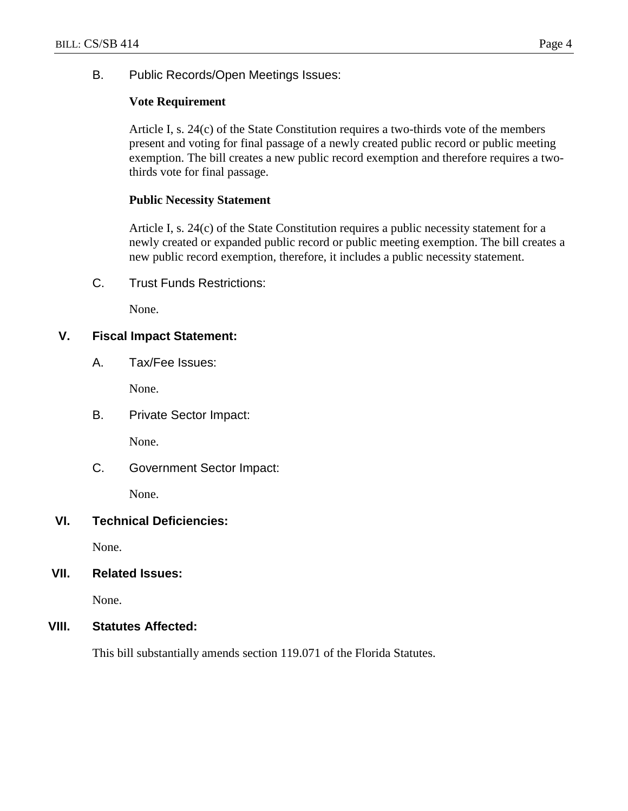B. Public Records/Open Meetings Issues:

### **Vote Requirement**

Article I, s. 24(c) of the State Constitution requires a two-thirds vote of the members present and voting for final passage of a newly created public record or public meeting exemption. The bill creates a new public record exemption and therefore requires a twothirds vote for final passage.

#### **Public Necessity Statement**

Article I, s. 24(c) of the State Constitution requires a public necessity statement for a newly created or expanded public record or public meeting exemption. The bill creates a new public record exemption, therefore, it includes a public necessity statement.

C. Trust Funds Restrictions:

None.

# **V. Fiscal Impact Statement:**

A. Tax/Fee Issues:

None.

B. Private Sector Impact:

None.

C. Government Sector Impact:

None.

#### **VI. Technical Deficiencies:**

None.

#### **VII. Related Issues:**

None.

#### **VIII. Statutes Affected:**

This bill substantially amends section 119.071 of the Florida Statutes.